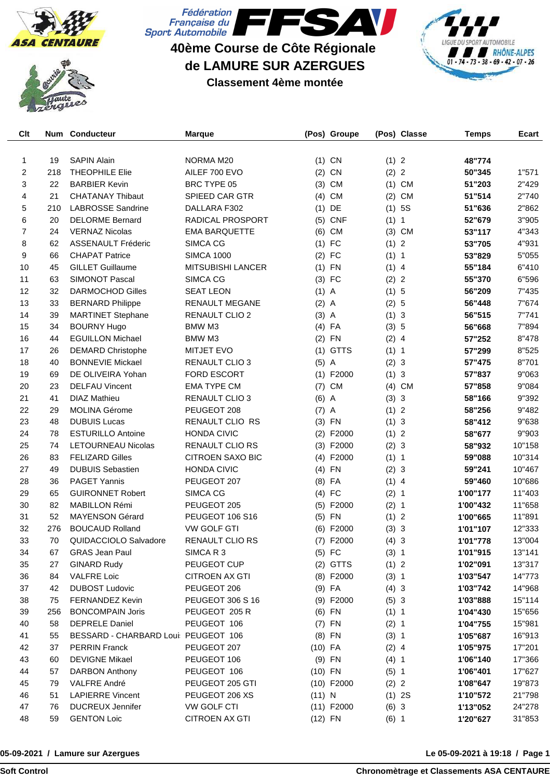





**40ème Course de Côte Régionale de LAMURE SUR AZERGUES**

## **Classement 4ème montée**



| Clt            |     | Num Conducteur                      | <b>Marque</b>            |           | (Pos) Groupe |         | (Pos) Classe | <b>Temps</b> | Ecart  |
|----------------|-----|-------------------------------------|--------------------------|-----------|--------------|---------|--------------|--------------|--------|
|                |     |                                     |                          |           |              |         |              |              |        |
| 1              | 19  | <b>SAPIN Alain</b>                  | NORMA M20                |           | $(1)$ CN     | (1) 2   |              | 48"774       |        |
| 2              | 218 | <b>THEOPHILE Elie</b>               | AILEF 700 EVO            | (2)       | <b>CN</b>    | (2) 2   |              | 50"345       | 1"571  |
| 3              | 22  | <b>BARBIER Kevin</b>                | BRC TYPE 05              | (3)       | <b>CM</b>    | (1)     | <b>CM</b>    | 51"203       | 2"429  |
| 4              | 21  | <b>CHATANAY Thibaut</b>             | SPIEED CAR GTR           |           | $(4)$ CM     | (2)     | <b>CM</b>    | 51"514       | 2"740  |
| 5              | 210 | <b>LABROSSE Sandrine</b>            | DALLARA F302             |           | $(1)$ DE     |         | (1) 5S       | 51"636       | 2"862  |
| 6              | 20  | <b>DELORME Bernard</b>              | <b>RADICAL PROSPORT</b>  | (5)       | <b>CNF</b>   | (1) 1   |              | 52"679       | 3"905  |
| $\overline{7}$ | 24  | <b>VERNAZ Nicolas</b>               | <b>EMA BARQUETTE</b>     | (6)       | <b>CM</b>    |         | $(3)$ CM     | 53"117       | 4"343  |
| 8              | 62  | <b>ASSENAULT Fréderic</b>           | SIMCA CG                 |           | $(1)$ FC     | (1) 2   |              | 53"705       | 4"931  |
| 9              | 66  | <b>CHAPAT Patrice</b>               | <b>SIMCA 1000</b>        | (2)       | FC           | (1) 1   |              | 53"829       | 5"055  |
| 10             | 45  | <b>GILLET Guillaume</b>             | <b>MITSUBISHI LANCER</b> | (1)       | <b>FN</b>    | $(1)$ 4 |              | 55"184       | 6"410  |
| 11             | 63  | <b>SIMONOT Pascal</b>               | SIMCA CG                 |           | $(3)$ FC     | (2) 2   |              | 55"370       | 6"596  |
| 12             | 32  | <b>DARMOCHOD Gilles</b>             | <b>SEAT LEON</b>         | $(1)$ A   |              | (1) 5   |              | 56"209       | 7"435  |
| 13             | 33  | <b>BERNARD Philippe</b>             | <b>RENAULT MEGANE</b>    | $(2)$ A   |              | (2) 5   |              | 56"448       | 7"674  |
| 14             | 39  | <b>MARTINET Stephane</b>            | RENAULT CLIO 2           | $(3)$ A   |              | (1) 3   |              | 56"515       | 7"741  |
| 15             | 34  | <b>BOURNY Hugo</b>                  | <b>BMW M3</b>            |           | $(4)$ FA     | (3) 5   |              | 56"668       | 7"894  |
| 16             | 44  | <b>EGUILLON Michael</b>             | BMW M3                   |           | $(2)$ FN     | $(2)$ 4 |              | 57"252       | 8"478  |
| 17             | 26  | <b>DEMARD Christophe</b>            | <b>MITJET EVO</b>        |           | $(1)$ GTTS   | (1) 1   |              | 57"299       | 8"525  |
| 18             | 40  | <b>BONNEVIE Mickael</b>             | <b>RENAULT CLIO 3</b>    | $(5)$ A   |              | (2) 3   |              | 57"475       | 8"701  |
| 19             | 69  | DE OLIVEIRA Yohan                   | <b>FORD ESCORT</b>       |           | $(1)$ F2000  | (1) 3   |              | 57"837       | 9"063  |
| 20             | 23  | <b>DELFAU Vincent</b>               | <b>EMA TYPE CM</b>       | (7)       | <b>CM</b>    |         | $(4)$ CM     | 57"858       | 9"084  |
| 21             | 41  | <b>DIAZ Mathieu</b>                 | RENAULT CLIO 3           | $(6)$ A   |              | (3) 3   |              | 58"166       | 9"392  |
| 22             | 29  | <b>MOLINA Gérome</b>                | PEUGEOT 208              | $(7)$ A   |              | (1) 2   |              | 58"256       | 9"482  |
| 23             | 48  | <b>DUBUIS Lucas</b>                 | RENAULT CLIO RS          |           | $(3)$ FN     | (1) 3   |              | 58"412       | 9"638  |
| 24             | 78  | <b>ESTURILLO Antoine</b>            | <b>HONDA CIVIC</b>       | (2)       | F2000        | (1) 2   |              | 58"677       | 9"903  |
| 25             | 74  | <b>LETOURNEAU Nicolas</b>           | <b>RENAULT CLIO RS</b>   |           | $(3)$ F2000  | (2) 3   |              | 58"932       | 10"158 |
| 26             | 83  | <b>FELIZARD Gilles</b>              | <b>CITROEN SAXO BIC</b>  |           | $(4)$ F2000  | (1) 1   |              | 59"088       | 10"314 |
| 27             | 49  | <b>DUBUIS Sebastien</b>             | <b>HONDA CIVIC</b>       |           | $(4)$ FN     | (2) 3   |              | 59"241       | 10"467 |
| 28             | 36  | <b>PAGET Yannis</b>                 | PEUGEOT 207              | (8)       | FA           | $(1)$ 4 |              | 59"460       | 10"686 |
| 29             | 65  | <b>GUIRONNET Robert</b>             | SIMCA CG                 | (4)       | <b>FC</b>    | (2) 1   |              | 1'00"177     | 11"403 |
| 30             | 82  | <b>MABILLON Rémi</b>                | PEUGEOT 205              |           | $(5)$ F2000  | (2) 1   |              | 1'00"432     | 11"658 |
| 31             | 52  | <b>MAYENSON Gérard</b>              | PEUGEOT 106 S16          | (5)       | FN           | (1) 2   |              | 1'00"665     | 11"891 |
| 32             | 276 | <b>BOUCAUD Rolland</b>              | <b>VW GOLF GTI</b>       | (6)       | F2000        | (3) 3   |              | 1'01"107     | 12"333 |
| 33             | 70  | QUIDACCIOLO Salvadore               | <b>RENAULT CLIO RS</b>   | (7)       | F2000        | (4) 3   |              | 1'01"778     | 13"004 |
| 34             | 67  | <b>GRAS Jean Paul</b>               | SIMCAR3                  |           | $(5)$ FC     | (3) 1   |              | 1'01"915     | 13"141 |
| 35             | 27  | <b>GINARD Rudy</b>                  | PEUGEOT CUP              |           | $(2)$ GTTS   | (1) 2   |              | 1'02"091     | 13"317 |
| 36             | 84  | <b>VALFRE Loic</b>                  | CITROEN AX GTI           |           | $(8)$ F2000  | (3) 1   |              | 1'03"547     | 14"773 |
| 37             | 42  | <b>DUBOST Ludovic</b>               | PEUGEOT 206              |           | $(9)$ FA     | (4) 3   |              | 1'03"742     | 14"968 |
| 38             | 75  | FERNANDEZ Kevin                     | PEUGEOT 306 S 16         |           | (9) F2000    | (5) 3   |              | 1'03"888     | 15"114 |
| 39             | 256 | <b>BONCOMPAIN Joris</b>             | PEUGEOT 205 R            |           | $(6)$ FN     | (1) 1   |              | 1'04"430     | 15"656 |
| 40             | 58  | <b>DEPRELE Daniel</b>               | PEUGEOT 106              |           | $(7)$ FN     | (2) 1   |              | 1'04"755     | 15"981 |
| 41             | 55  | BESSARD - CHARBARD Loui PEUGEOT 106 |                          |           | $(8)$ FN     | (3) 1   |              | 1'05"687     | 16"913 |
| 42             | 37  | <b>PERRIN Franck</b>                | PEUGEOT 207              | $(10)$ FA |              | $(2)$ 4 |              | 1'05"975     | 17"201 |
| 43             | 60  | <b>DEVIGNE Mikael</b>               | PEUGEOT 106              |           | $(9)$ FN     | $(4)$ 1 |              | 1'06"140     | 17"366 |
| 44             | 57  | <b>DARBON Anthony</b>               | PEUGEOT 106              | $(10)$ FN |              | $(5)$ 1 |              | 1'06"401     | 17"627 |
| 45             | 79  | VALFRE André                        | PEUGEOT 205 GTI          |           | $(10)$ F2000 | (2) 2   |              | 1'08"647     | 19"873 |
| 46             | 51  | <b>LAPIERRE Vincent</b>             | PEUGEOT 206 XS           | (11) N    |              |         | (1) 2S       | 1'10"572     | 21"798 |
| 47             | 76  | <b>DUCREUX Jennifer</b>             | VW GOLF CTI              |           | $(11)$ F2000 | (6) 3   |              | 1'13"052     | 24"278 |
| 48             | 59  | <b>GENTON Loic</b>                  | CITROEN AX GTI           | $(12)$ FN |              | $(6)$ 1 |              | 1'20"627     | 31"853 |
|                |     |                                     |                          |           |              |         |              |              |        |

## **05-09-2021 / Lamure sur Azergues**